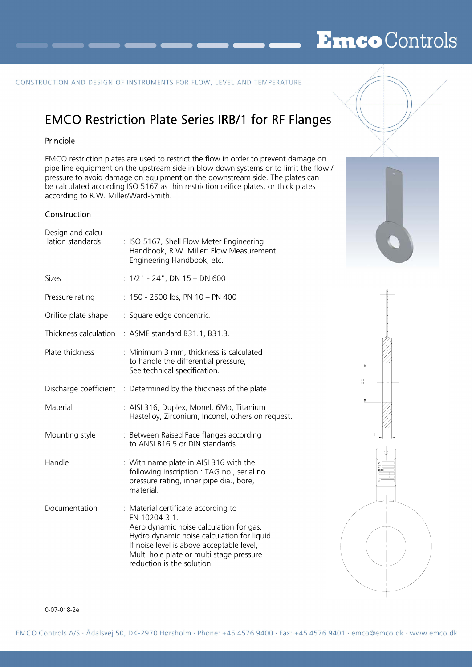## EmcoControls

#### CONSTRUCTION AND DESIGN OF INSTRUMENTS FOR FLOW, LEVEL AND TEMPERATURE

### EMCO Restriction Plate Series IRB/1 for RF Flanges

#### Principle

EMCO restriction plates are used to restrict the flow in order to prevent damage on pipe line equipment on the upstream side in blow down systems or to limit the flow / pressure to avoid damage on equipment on the downstream side. The plates can be calculated according ISO 5167 as thin restriction orifice plates, or thick plates according to R.W. Miller/Ward-Smith.

### **Construction**

| : $1/2$ " - 24", DN 15 - DN 600<br>Sizes<br>: 150 - 2500 lbs, PN 10 - PN 400<br>Pressure rating<br>Orifice plate shape<br>: Square edge concentric.<br>Thickness calculation<br>: ASME standard B31.1, B31.3.<br>Plate thickness<br>: Minimum 3 mm, thickness is calculated<br>to handle the differential pressure,<br>See technical specification.<br>Discharge coefficient : Determined by the thickness of the plate<br>Material<br>: AISI 316, Duplex, Monel, 6Mo, Titanium<br>Hastelloy, Zirconium, Inconel, others on request. |  |
|--------------------------------------------------------------------------------------------------------------------------------------------------------------------------------------------------------------------------------------------------------------------------------------------------------------------------------------------------------------------------------------------------------------------------------------------------------------------------------------------------------------------------------------|--|
|                                                                                                                                                                                                                                                                                                                                                                                                                                                                                                                                      |  |
|                                                                                                                                                                                                                                                                                                                                                                                                                                                                                                                                      |  |
|                                                                                                                                                                                                                                                                                                                                                                                                                                                                                                                                      |  |
|                                                                                                                                                                                                                                                                                                                                                                                                                                                                                                                                      |  |
|                                                                                                                                                                                                                                                                                                                                                                                                                                                                                                                                      |  |
|                                                                                                                                                                                                                                                                                                                                                                                                                                                                                                                                      |  |
|                                                                                                                                                                                                                                                                                                                                                                                                                                                                                                                                      |  |
| : Between Raised Face flanges according<br>Mounting style<br>to ANSI B16.5 or DIN standards.                                                                                                                                                                                                                                                                                                                                                                                                                                         |  |
| Handle<br>: With name plate in AISI 316 with the<br>following inscription : TAG no., serial no.<br>pressure rating, inner pipe dia., bore,<br>material.                                                                                                                                                                                                                                                                                                                                                                              |  |
| Documentation<br>: Material certificate according to<br>EN 10204-3.1.<br>Aero dynamic noise calculation for gas.<br>Hydro dynamic noise calculation for liquid.<br>If noise level is above acceptable level,<br>Multi hole plate or multi stage pressure<br>reduction is the solution.                                                                                                                                                                                                                                               |  |





#### 0-07-018-2e